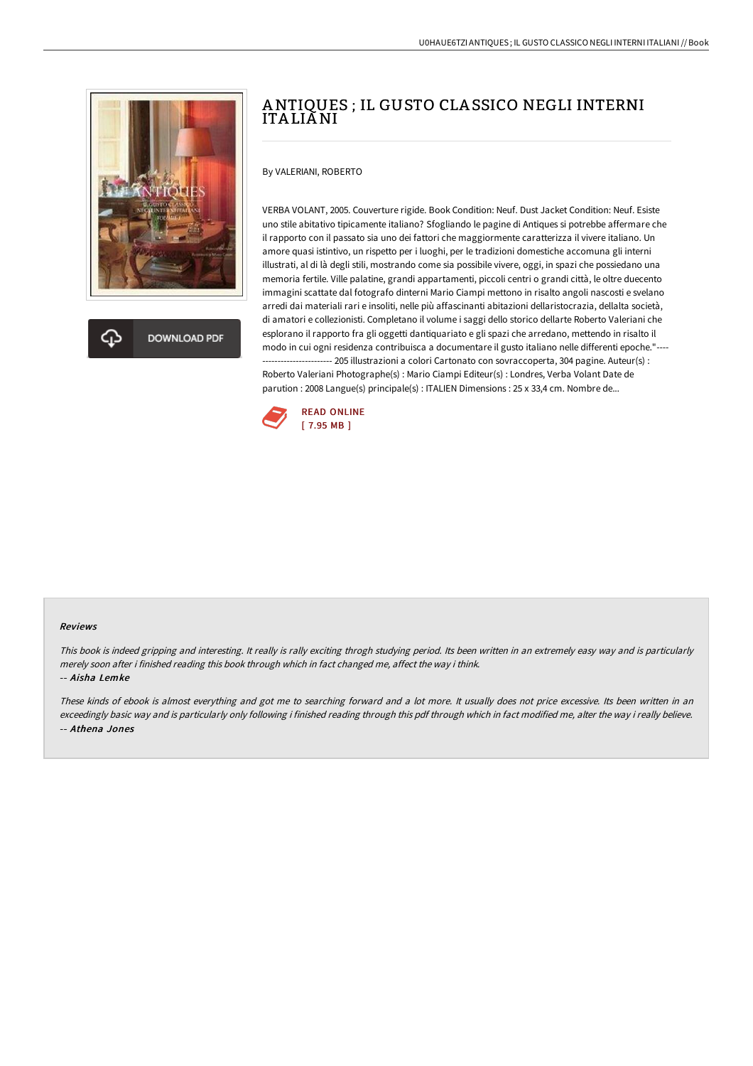

**DOWNLOAD PDF** 

# ANTIQUES ; IL GUSTO CLA SSICO NEGLI INTERNI ITA LIANI

### By VALERIANI, ROBERTO

VERBA VOLANT, 2005. Couverture rigide. Book Condition: Neuf. Dust Jacket Condition: Neuf. Esiste uno stile abitativo tipicamente italiano? Sfogliando le pagine di Antiques si potrebbe affermare che il rapporto con il passato sia uno dei fattori che maggiormente caratterizza il vivere italiano. Un amore quasi istintivo, un rispetto per i luoghi, per le tradizioni domestiche accomuna gli interni illustrati, al di là degli stili, mostrando come sia possibile vivere, oggi, in spazi che possiedano una memoria fertile. Ville palatine, grandi appartamenti, piccoli centri o grandi città, le oltre duecento immagini scattate dal fotografo dinterni Mario Ciampi mettono in risalto angoli nascosti e svelano arredi dai materiali rari e insoliti, nelle più affascinanti abitazioni dellaristocrazia, dellalta società, di amatori e collezionisti. Completano il volume i saggi dello storico dellarte Roberto Valeriani che esplorano il rapporto fra gli oggetti dantiquariato e gli spazi che arredano, mettendo in risalto il modo in cui ogni residenza contribuisca a documentare il gusto italiano nelle differenti epoche."---- ---- 205 illustrazioni a colori Cartonato con sovraccoperta, 304 pagine. Auteur(s) : Roberto Valeriani Photographe(s) : Mario Ciampi Editeur(s) : Londres, Verba Volant Date de parution : 2008 Langue(s) principale(s) : ITALIEN Dimensions : 25 x 33,4 cm. Nombre de...



#### Reviews

This book is indeed gripping and interesting. It really is rally exciting throgh studying period. Its been written in an extremely easy way and is particularly merely soon after i finished reading this book through which in fact changed me, affect the way i think. -- Aisha Lemke

These kinds of ebook is almost everything and got me to searching forward and <sup>a</sup> lot more. It usually does not price excessive. Its been written in an exceedingly basic way and is particularly only following i finished reading through this pdf through which in fact modified me, alter the way i really believe. -- Athena Jones